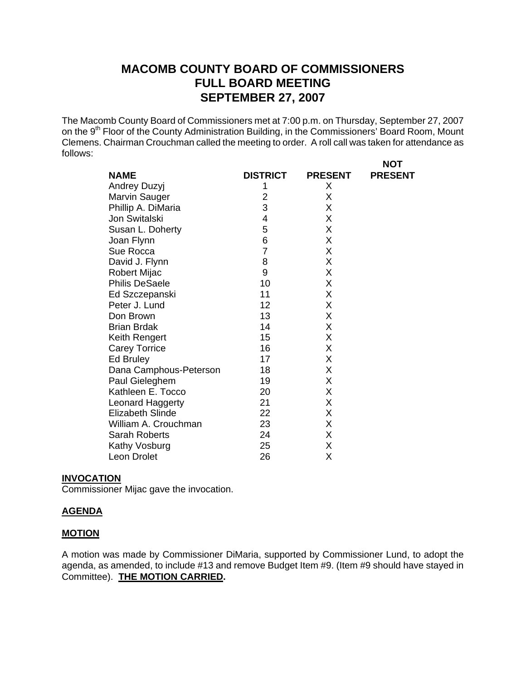# **MACOMB COUNTY BOARD OF COMMISSIONERS FULL BOARD MEETING SEPTEMBER 27, 2007**

The Macomb County Board of Commissioners met at 7:00 p.m. on Thursday, September 27, 2007 on the 9<sup>th</sup> Floor of the County Administration Building, in the Commissioners' Board Room, Mount Clemens. Chairman Crouchman called the meeting to order. A roll call was taken for attendance as follows:

**NOT** 

| <b>NAME</b>             | <b>DISTRICT</b> | <b>PRESENT</b> | <b>PRESENT</b> |
|-------------------------|-----------------|----------------|----------------|
| Andrey Duzyj            |                 | X              |                |
| Marvin Sauger           | 2               | X              |                |
| Phillip A. DiMaria      | 3               | X              |                |
| Jon Switalski           | 4               | X              |                |
| Susan L. Doherty        | 5               | X              |                |
| Joan Flynn              | 6               | Χ              |                |
| Sue Rocca               | 7               | X              |                |
| David J. Flynn          | 8               | Χ              |                |
| <b>Robert Mijac</b>     | 9               | X              |                |
| <b>Philis DeSaele</b>   | 10              | X              |                |
| Ed Szczepanski          | 11              | X              |                |
| Peter J. Lund           | 12              | X              |                |
| Don Brown               | 13              | X              |                |
| <b>Brian Brdak</b>      | 14              | X              |                |
| Keith Rengert           | 15              | X              |                |
| <b>Carey Torrice</b>    | 16              | Χ              |                |
| Ed Bruley               | 17              | X              |                |
| Dana Camphous-Peterson  | 18              | Χ              |                |
| Paul Gieleghem          | 19              | Χ              |                |
| Kathleen E. Tocco       | 20              | X              |                |
| Leonard Haggerty        | 21              | X              |                |
| <b>Elizabeth Slinde</b> | 22              | X              |                |
| William A. Crouchman    | 23              | X              |                |
| Sarah Roberts           | 24              | X              |                |
| Kathy Vosburg           | 25              | Χ              |                |
| Leon Drolet             | 26              | Χ              |                |

#### **INVOCATION**

Commissioner Mijac gave the invocation.

#### **AGENDA**

#### **MOTION**

A motion was made by Commissioner DiMaria, supported by Commissioner Lund, to adopt the agenda, as amended, to include #13 and remove Budget Item #9. (Item #9 should have stayed in Committee). **THE MOTION CARRIED.**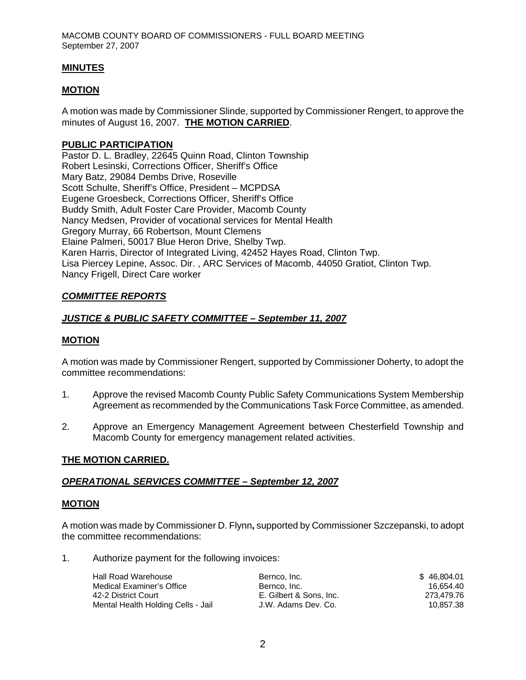### **MINUTES**

### **MOTION**

A motion was made by Commissioner Slinde, supported by Commissioner Rengert, to approve the minutes of August 16, 2007. **THE MOTION CARRIED**.

#### **PUBLIC PARTICIPATION**

Pastor D. L. Bradley, 22645 Quinn Road, Clinton Township Robert Lesinski, Corrections Officer, Sheriff's Office Mary Batz, 29084 Dembs Drive, Roseville Scott Schulte, Sheriff's Office, President – MCPDSA Eugene Groesbeck, Corrections Officer, Sheriff's Office Buddy Smith, Adult Foster Care Provider, Macomb County Nancy Medsen, Provider of vocational services for Mental Health Gregory Murray, 66 Robertson, Mount Clemens Elaine Palmeri, 50017 Blue Heron Drive, Shelby Twp. Karen Harris, Director of Integrated Living, 42452 Hayes Road, Clinton Twp. Lisa Piercey Lepine, Assoc. Dir. , ARC Services of Macomb, 44050 Gratiot, Clinton Twp. Nancy Frigell, Direct Care worker

### *COMMITTEE REPORTS*

### *JUSTICE & PUBLIC SAFETY COMMITTEE – September 11, 2007*

#### **MOTION**

A motion was made by Commissioner Rengert, supported by Commissioner Doherty, to adopt the committee recommendations:

- 1. Approve the revised Macomb County Public Safety Communications System Membership Agreement as recommended by the Communications Task Force Committee, as amended.
- 2. Approve an Emergency Management Agreement between Chesterfield Township and Macomb County for emergency management related activities.

#### **THE MOTION CARRIED.**

#### *OPERATIONAL SERVICES COMMITTEE – September 12, 2007*

#### **MOTION**

A motion was made by Commissioner D. Flynn**,** supported by Commissioner Szczepanski, to adopt the committee recommendations:

1. Authorize payment for the following invoices:

| Hall Road Warehouse                | Bernco, Inc.            | \$46.804.01 |
|------------------------------------|-------------------------|-------------|
| Medical Examiner's Office          | Bernco, Inc.            | 16.654.40   |
| 42-2 District Court                | E. Gilbert & Sons. Inc. | 273.479.76  |
| Mental Health Holding Cells - Jail | J.W. Adams Dev. Co.     | 10.857.38   |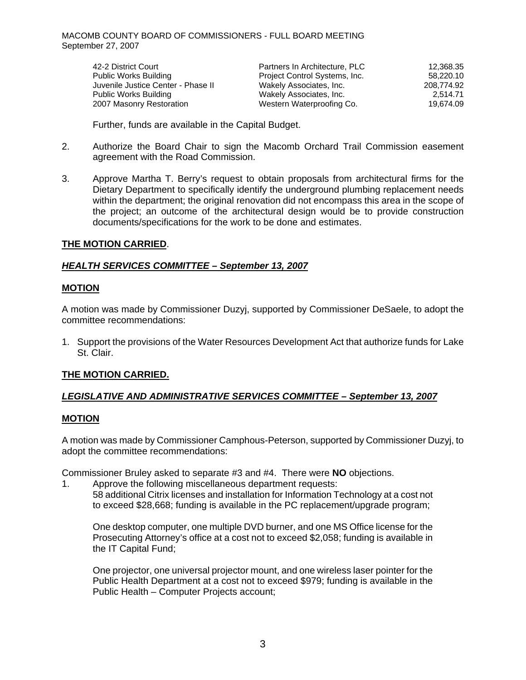| 42-2 District Court                | Partners In Architecture, PLC | 12,368.35  |
|------------------------------------|-------------------------------|------------|
| Public Works Building              | Project Control Systems, Inc. | 58,220.10  |
| Juvenile Justice Center - Phase II | Wakely Associates, Inc.       | 208,774.92 |
| Public Works Building              | Wakely Associates, Inc.       | 2.514.71   |
| 2007 Masonry Restoration           | Western Waterproofing Co.     | 19,674.09  |

Further, funds are available in the Capital Budget.

- 2. Authorize the Board Chair to sign the Macomb Orchard Trail Commission easement agreement with the Road Commission.
- 3. Approve Martha T. Berry's request to obtain proposals from architectural firms for the Dietary Department to specifically identify the underground plumbing replacement needs within the department; the original renovation did not encompass this area in the scope of the project; an outcome of the architectural design would be to provide construction documents/specifications for the work to be done and estimates.

### **THE MOTION CARRIED**.

### *HEALTH SERVICES COMMITTEE – September 13, 2007*

### **MOTION**

A motion was made by Commissioner Duzyj, supported by Commissioner DeSaele, to adopt the committee recommendations:

1. Support the provisions of the Water Resources Development Act that authorize funds for Lake St. Clair.

### **THE MOTION CARRIED.**

### *LEGISLATIVE AND ADMINISTRATIVE SERVICES COMMITTEE – September 13, 2007*

#### **MOTION**

A motion was made by Commissioner Camphous-Peterson, supported by Commissioner Duzyj, to adopt the committee recommendations:

Commissioner Bruley asked to separate #3 and #4. There were **NO** objections.

1. Approve the following miscellaneous department requests:

58 additional Citrix licenses and installation for Information Technology at a cost not to exceed \$28,668; funding is available in the PC replacement/upgrade program;

One desktop computer, one multiple DVD burner, and one MS Office license for the Prosecuting Attorney's office at a cost not to exceed \$2,058; funding is available in the IT Capital Fund;

One projector, one universal projector mount, and one wireless laser pointer for the Public Health Department at a cost not to exceed \$979; funding is available in the Public Health – Computer Projects account;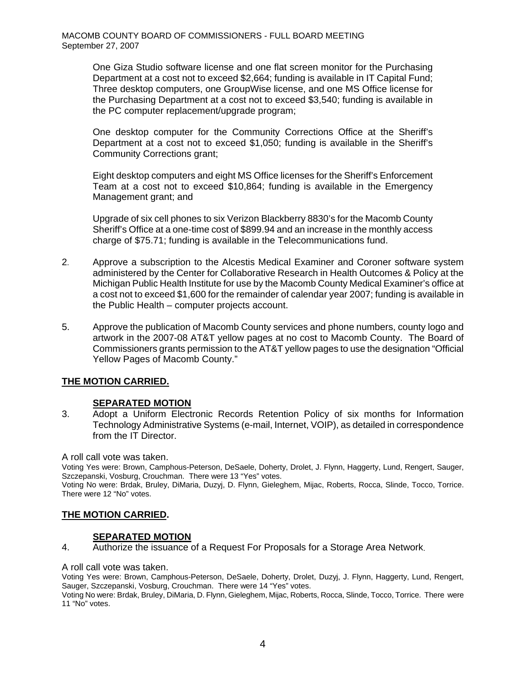One Giza Studio software license and one flat screen monitor for the Purchasing Department at a cost not to exceed \$2,664; funding is available in IT Capital Fund; Three desktop computers, one GroupWise license, and one MS Office license for the Purchasing Department at a cost not to exceed \$3,540; funding is available in the PC computer replacement/upgrade program;

One desktop computer for the Community Corrections Office at the Sheriff's Department at a cost not to exceed \$1,050; funding is available in the Sheriff's Community Corrections grant;

Eight desktop computers and eight MS Office licenses for the Sheriff's Enforcement Team at a cost not to exceed \$10,864; funding is available in the Emergency Management grant; and

Upgrade of six cell phones to six Verizon Blackberry 8830's for the Macomb County Sheriff's Office at a one-time cost of \$899.94 and an increase in the monthly access charge of \$75.71; funding is available in the Telecommunications fund.

- 2. Approve a subscription to the Alcestis Medical Examiner and Coroner software system administered by the Center for Collaborative Research in Health Outcomes & Policy at the Michigan Public Health Institute for use by the Macomb County Medical Examiner's office at a cost not to exceed \$1,600 for the remainder of calendar year 2007; funding is available in the Public Health – computer projects account.
- 5. Approve the publication of Macomb County services and phone numbers, county logo and artwork in the 2007-08 AT&T yellow pages at no cost to Macomb County. The Board of Commissioners grants permission to the AT&T yellow pages to use the designation "Official Yellow Pages of Macomb County."

### **THE MOTION CARRIED.**

### **SEPARATED MOTION**

3. Adopt a Uniform Electronic Records Retention Policy of six months for Information Technology Administrative Systems (e-mail, Internet, VOIP), as detailed in correspondence from the IT Director.

#### A roll call vote was taken.

Voting Yes were: Brown, Camphous-Peterson, DeSaele, Doherty, Drolet, J. Flynn, Haggerty, Lund, Rengert, Sauger, Szczepanski, Vosburg, Crouchman. There were 13 "Yes" votes.

Voting No were: Brdak, Bruley, DiMaria, Duzyj, D. Flynn, Gieleghem, Mijac, Roberts, Rocca, Slinde, Tocco, Torrice. There were 12 "No" votes.

## **THE MOTION CARRIED.**

### **SEPARATED MOTION**

4. Authorize the issuance of a Request For Proposals for a Storage Area Network.

#### A roll call vote was taken.

Voting Yes were: Brown, Camphous-Peterson, DeSaele, Doherty, Drolet, Duzyj, J. Flynn, Haggerty, Lund, Rengert, Sauger, Szczepanski, Vosburg, Crouchman. There were 14 "Yes" votes.

Voting No were: Brdak, Bruley, DiMaria, D. Flynn, Gieleghem, Mijac, Roberts, Rocca, Slinde, Tocco, Torrice. There were 11 "No" votes.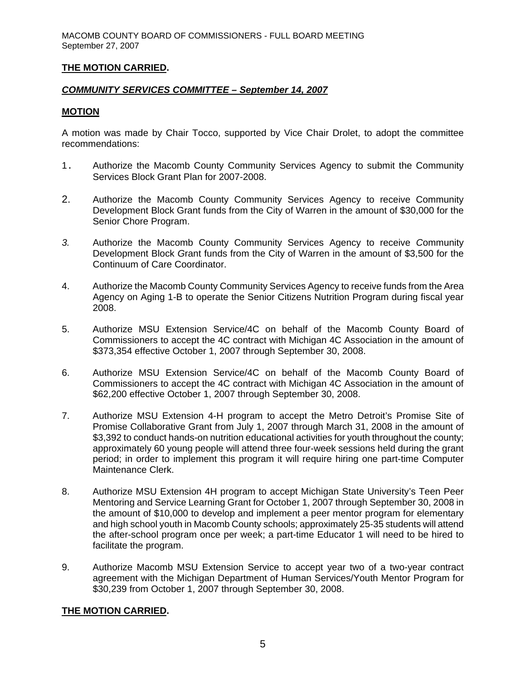### **THE MOTION CARRIED.**

## *COMMUNITY SERVICES COMMITTEE – September 14, 2007*

### **MOTION**

A motion was made by Chair Tocco, supported by Vice Chair Drolet, to adopt the committee recommendations:

- 1. Authorize the Macomb County Community Services Agency to submit the Community Services Block Grant Plan for 2007-2008.
- 2. Authorize the Macomb County Community Services Agency to receive Community Development Block Grant funds from the City of Warren in the amount of \$30,000 for the Senior Chore Program.
- *3.* Authorize the Macomb County Community Services Agency to receive *C*ommunity Development Block *G*rant funds from the City of Warren in the amount of \$3,500 for the Continuum of Care Coordinator.
- 4. Authorize the Macomb County Community Services Agency to receive funds from the Area Agency on Aging 1-B to operate the Senior Citizens Nutrition Program during fiscal year 2008.
- 5. Authorize MSU Extension Service/4C on behalf of the Macomb County Board of Commissioners to accept the 4C contract with Michigan 4C Association in the amount of \$373,354 effective October 1, 2007 through September 30, 2008.
- 6. Authorize MSU Extension Service/4C on behalf of the Macomb County Board of Commissioners to accept the 4C contract with Michigan 4C Association in the amount of \$62,200 effective October 1, 2007 through September 30, 2008.
- 7. Authorize MSU Extension 4-H program to accept the Metro Detroit's Promise Site of Promise Collaborative Grant from July 1, 2007 through March 31, 2008 in the amount of \$3,392 to conduct hands-on nutrition educational activities for youth throughout the county; approximately 60 young people will attend three four-week sessions held during the grant period; in order to implement this program it will require hiring one part-time Computer Maintenance Clerk.
- 8. Authorize MSU Extension 4H program to accept Michigan State University's Teen Peer Mentoring and Service Learning Grant for October 1, 2007 through September 30, 2008 in the amount of \$10,000 to develop and implement a peer mentor program for elementary and high school youth in Macomb County schools; approximately 25-35 students will attend the after-school program once per week; a part-time Educator 1 will need to be hired to facilitate the program.
- 9. Authorize Macomb MSU Extension Service to accept year two of a two-year contract agreement with the Michigan Department of Human Services/Youth Mentor Program for \$30,239 from October 1, 2007 through September 30, 2008.

#### **THE MOTION CARRIED.**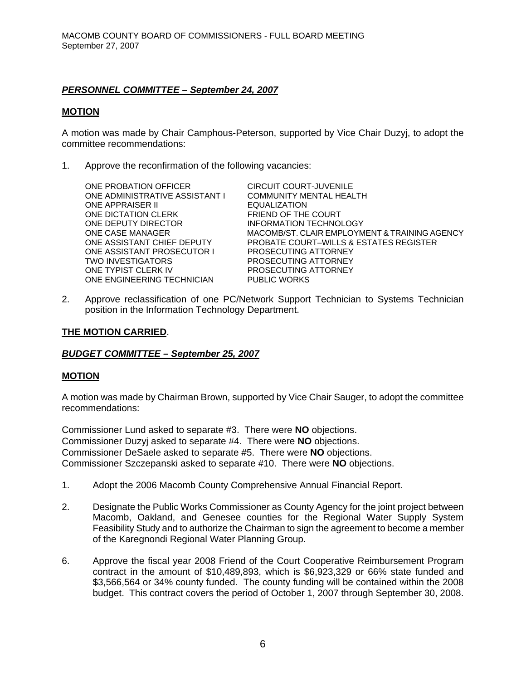## *PERSONNEL COMMITTEE – September 24, 2007*

### **MOTION**

A motion was made by Chair Camphous-Peterson, supported by Vice Chair Duzyj, to adopt the committee recommendations:

1. Approve the reconfirmation of the following vacancies:

| ONE PROBATION OFFICER          | CIRCUIT COURT-JUVENILE                            |
|--------------------------------|---------------------------------------------------|
| ONE ADMINISTRATIVE ASSISTANT I | <b>COMMUNITY MENTAL HEALTH</b>                    |
| <b>ONE APPRAISER II</b>        | <b>EQUALIZATION</b>                               |
| ONE DICTATION CLERK            | FRIEND OF THE COURT                               |
| ONE DEPUTY DIRECTOR            | INFORMATION TECHNOLOGY                            |
| ONE CASE MANAGER               | MACOMB/ST. CLAIR EMPLOYMENT & TRAINING AGENCY     |
| ONE ASSISTANT CHIEF DEPUTY     | <b>PROBATE COURT–WILLS &amp; ESTATES REGISTER</b> |
| ONE ASSISTANT PROSECUTOR I     | PROSECUTING ATTORNEY                              |
| TWO INVESTIGATORS              | PROSECUTING ATTORNEY                              |
| ONE TYPIST CLERK IV            | PROSECUTING ATTORNEY                              |
| ONE ENGINEERING TECHNICIAN     | <b>PUBLIC WORKS</b>                               |
|                                |                                                   |

2. Approve reclassification of one PC/Network Support Technician to Systems Technician position in the Information Technology Department.

### **THE MOTION CARRIED**.

#### *BUDGET COMMITTEE – September 25, 2007*

#### **MOTION**

A motion was made by Chairman Brown, supported by Vice Chair Sauger, to adopt the committee recommendations:

Commissioner Lund asked to separate #3. There were **NO** objections. Commissioner Duzyj asked to separate #4. There were **NO** objections. Commissioner DeSaele asked to separate #5. There were **NO** objections. Commissioner Szczepanski asked to separate #10. There were **NO** objections.

- 1. Adopt the 2006 Macomb County Comprehensive Annual Financial Report.
- 2. Designate the Public Works Commissioner as County Agency for the joint project between Macomb, Oakland, and Genesee counties for the Regional Water Supply System Feasibility Study and to authorize the Chairman to sign the agreement to become a member of the Karegnondi Regional Water Planning Group.
- 6. Approve the fiscal year 2008 Friend of the Court Cooperative Reimbursement Program contract in the amount of \$10,489,893, which is \$6,923,329 or 66% state funded and \$3,566,564 or 34% county funded. The county funding will be contained within the 2008 budget. This contract covers the period of October 1, 2007 through September 30, 2008.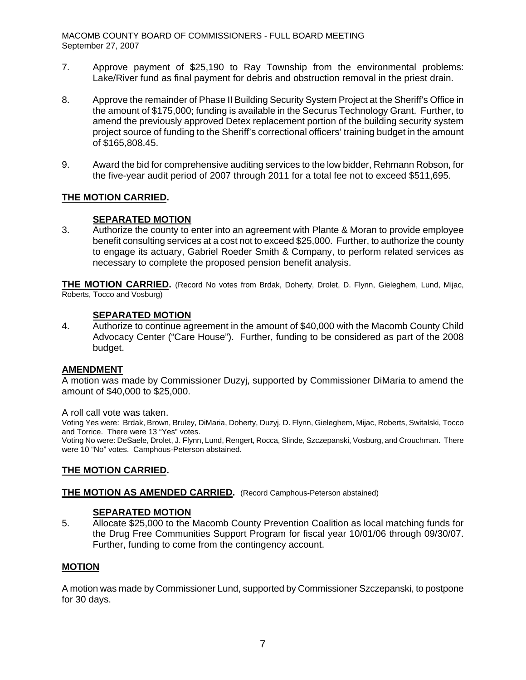- 7. Approve payment of \$25,190 to Ray Township from the environmental problems: Lake/River fund as final payment for debris and obstruction removal in the priest drain.
- 8. Approve the remainder of Phase II Building Security System Project at the Sheriff's Office in the amount of \$175,000; funding is available in the Securus Technology Grant. Further, to amend the previously approved Detex replacement portion of the building security system project source of funding to the Sheriff's correctional officers' training budget in the amount of \$165,808.45.
- 9. Award the bid for comprehensive auditing services to the low bidder, Rehmann Robson, for the five-year audit period of 2007 through 2011 for a total fee not to exceed \$511,695.

## **THE MOTION CARRIED.**

## **SEPARATED MOTION**

3. Authorize the county to enter into an agreement with Plante & Moran to provide employee benefit consulting services at a cost not to exceed \$25,000. Further, to authorize the county to engage its actuary, Gabriel Roeder Smith & Company, to perform related services as necessary to complete the proposed pension benefit analysis.

**THE MOTION CARRIED.** (Record No votes from Brdak, Doherty, Drolet, D. Flynn, Gieleghem, Lund, Mijac, Roberts, Tocco and Vosburg)

## **SEPARATED MOTION**

4. Authorize to continue agreement in the amount of \$40,000 with the Macomb County Child Advocacy Center ("Care House"). Further, funding to be considered as part of the 2008 budget.

### **AMENDMENT**

A motion was made by Commissioner Duzyj, supported by Commissioner DiMaria to amend the amount of \$40,000 to \$25,000.

#### A roll call vote was taken.

Voting Yes were: Brdak, Brown, Bruley, DiMaria, Doherty, Duzyj, D. Flynn, Gieleghem, Mijac, Roberts, Switalski, Tocco and Torrice. There were 13 "Yes" votes.

Voting No were: DeSaele, Drolet, J. Flynn, Lund, Rengert, Rocca, Slinde, Szczepanski, Vosburg, and Crouchman. There were 10 "No" votes. Camphous-Peterson abstained.

### **THE MOTION CARRIED.**

### **THE MOTION AS AMENDED CARRIED.** (Record Camphous-Peterson abstained)

### **SEPARATED MOTION**

5. Allocate \$25,000 to the Macomb County Prevention Coalition as local matching funds for the Drug Free Communities Support Program for fiscal year 10/01/06 through 09/30/07. Further, funding to come from the contingency account.

### **MOTION**

A motion was made by Commissioner Lund, supported by Commissioner Szczepanski, to postpone for 30 days.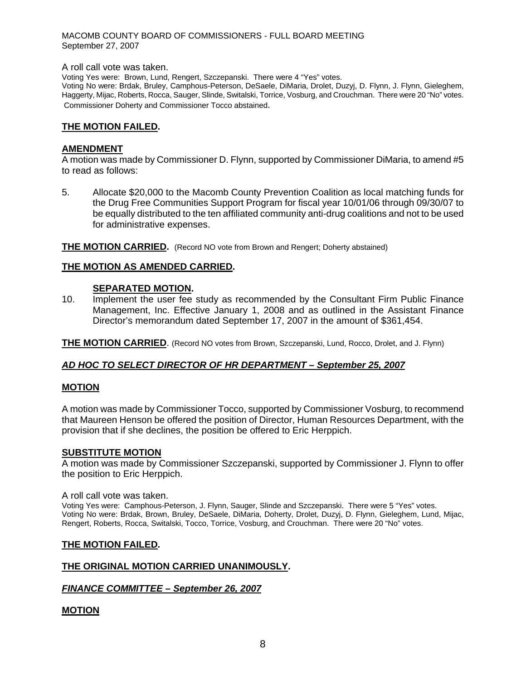#### A roll call vote was taken.

Voting Yes were: Brown, Lund, Rengert, Szczepanski. There were 4 "Yes" votes.

Voting No were: Brdak, Bruley, Camphous-Peterson, DeSaele, DiMaria, Drolet, Duzyj, D. Flynn, J. Flynn, Gieleghem, Haggerty, Mijac, Roberts, Rocca, Sauger, Slinde, Switalski, Torrice, Vosburg, and Crouchman. There were 20 "No" votes. Commissioner Doherty and Commissioner Tocco abstained.

#### **THE MOTION FAILED.**

### **AMENDMENT**

A motion was made by Commissioner D. Flynn, supported by Commissioner DiMaria, to amend #5 to read as follows:

5. Allocate \$20,000 to the Macomb County Prevention Coalition as local matching funds for the Drug Free Communities Support Program for fiscal year 10/01/06 through 09/30/07 to be equally distributed to the ten affiliated community anti-drug coalitions and not to be used for administrative expenses.

**THE MOTION CARRIED.** (Record NO vote from Brown and Rengert; Doherty abstained)

#### **THE MOTION AS AMENDED CARRIED.**

#### **SEPARATED MOTION.**

10. Implement the user fee study as recommended by the Consultant Firm Public Finance Management, Inc. Effective January 1, 2008 and as outlined in the Assistant Finance Director's memorandum dated September 17, 2007 in the amount of \$361,454.

**THE MOTION CARRIED**. (Record NO votes from Brown, Szczepanski, Lund, Rocco, Drolet, and J. Flynn)

#### *AD HOC TO SELECT DIRECTOR OF HR DEPARTMENT – September 25, 2007*

#### **MOTION**

 A motion was made by Commissioner Tocco, supported by Commissioner Vosburg, to recommend that Maureen Henson be offered the position of Director, Human Resources Department, with the provision that if she declines, the position be offered to Eric Herppich.

#### **SUBSTITUTE MOTION**

A motion was made by Commissioner Szczepanski, supported by Commissioner J. Flynn to offer the position to Eric Herppich.

#### A roll call vote was taken.

Voting Yes were: Camphous-Peterson, J. Flynn, Sauger, Slinde and Szczepanski. There were 5 "Yes" votes. Voting No were: Brdak, Brown, Bruley, DeSaele, DiMaria, Doherty, Drolet, Duzyj, D. Flynn, Gieleghem, Lund, Mijac, Rengert, Roberts, Rocca, Switalski, Tocco, Torrice, Vosburg, and Crouchman. There were 20 "No" votes.

#### **THE MOTION FAILED.**

#### **THE ORIGINAL MOTION CARRIED UNANIMOUSLY.**

#### *FINANCE COMMITTEE – September 26, 2007*

#### **MOTION**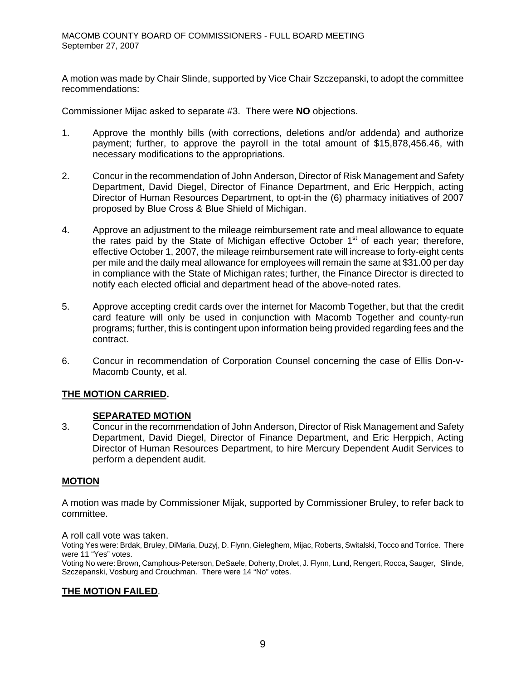A motion was made by Chair Slinde, supported by Vice Chair Szczepanski, to adopt the committee recommendations:

Commissioner Mijac asked to separate #3. There were **NO** objections.

- 1. Approve the monthly bills (with corrections, deletions and/or addenda) and authorize payment; further, to approve the payroll in the total amount of \$15,878,456.46, with necessary modifications to the appropriations.
- 2. Concur in the recommendation of John Anderson, Director of Risk Management and Safety Department, David Diegel, Director of Finance Department, and Eric Herppich, acting Director of Human Resources Department, to opt-in the (6) pharmacy initiatives of 2007 proposed by Blue Cross & Blue Shield of Michigan.
- 4. Approve an adjustment to the mileage reimbursement rate and meal allowance to equate the rates paid by the State of Michigan effective October  $1<sup>st</sup>$  of each year; therefore, effective October 1, 2007, the mileage reimbursement rate will increase to forty-eight cents per mile and the daily meal allowance for employees will remain the same at \$31.00 per day in compliance with the State of Michigan rates; further, the Finance Director is directed to notify each elected official and department head of the above-noted rates.
- 5. Approve accepting credit cards over the internet for Macomb Together, but that the credit card feature will only be used in conjunction with Macomb Together and county-run programs; further, this is contingent upon information being provided regarding fees and the contract.
- 6. Concur in recommendation of Corporation Counsel concerning the case of Ellis Don-v-Macomb County, et al.

## **THE MOTION CARRIED.**

### **SEPARATED MOTION**

3. Concur in the recommendation of John Anderson, Director of Risk Management and Safety Department, David Diegel, Director of Finance Department, and Eric Herppich, Acting Director of Human Resources Department, to hire Mercury Dependent Audit Services to perform a dependent audit.

### **MOTION**

A motion was made by Commissioner Mijak, supported by Commissioner Bruley, to refer back to committee.

A roll call vote was taken.

Voting Yes were: Brdak, Bruley, DiMaria, Duzyj, D. Flynn, Gieleghem, Mijac, Roberts, Switalski, Tocco and Torrice. There were 11 "Yes" votes.

Voting No were: Brown, Camphous-Peterson, DeSaele, Doherty, Drolet, J. Flynn, Lund, Rengert, Rocca, Sauger, Slinde, Szczepanski, Vosburg and Crouchman. There were 14 "No" votes.

### **THE MOTION FAILED**.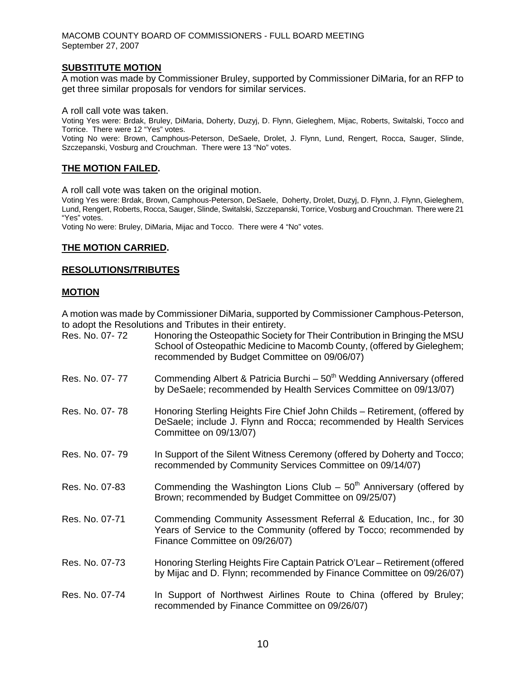### **SUBSTITUTE MOTION**

A motion was made by Commissioner Bruley, supported by Commissioner DiMaria, for an RFP to get three similar proposals for vendors for similar services.

A roll call vote was taken.

Voting Yes were: Brdak, Bruley, DiMaria, Doherty, Duzyj, D. Flynn, Gieleghem, Mijac, Roberts, Switalski, Tocco and Torrice. There were 12 "Yes" votes.

Voting No were: Brown, Camphous-Peterson, DeSaele, Drolet, J. Flynn, Lund, Rengert, Rocca, Sauger, Slinde, Szczepanski, Vosburg and Crouchman. There were 13 "No" votes.

#### **THE MOTION FAILED.**

A roll call vote was taken on the original motion.

Voting Yes were: Brdak, Brown, Camphous-Peterson, DeSaele, Doherty, Drolet, Duzyj, D. Flynn, J. Flynn, Gieleghem, Lund, Rengert, Roberts, Rocca, Sauger, Slinde, Switalski, Szczepanski, Torrice, Vosburg and Crouchman. There were 21 "Yes" votes.

Voting No were: Bruley, DiMaria, Mijac and Tocco. There were 4 "No" votes.

### **THE MOTION CARRIED.**

#### **RESOLUTIONS/TRIBUTES**

#### **MOTION**

A motion was made by Commissioner DiMaria, supported by Commissioner Camphous-Peterson, to adopt the Resolutions and Tributes in their entirety.

| Res. No. 07-72 | Honoring the Osteopathic Society for Their Contribution in Bringing the MSU<br>School of Osteopathic Medicine to Macomb County, (offered by Gieleghem;<br>recommended by Budget Committee on 09/06/07) |
|----------------|--------------------------------------------------------------------------------------------------------------------------------------------------------------------------------------------------------|
| Res. No. 07-77 | Commending Albert & Patricia Burchi - 50 <sup>th</sup> Wedding Anniversary (offered<br>by DeSaele; recommended by Health Services Committee on 09/13/07)                                               |
| Res. No. 07-78 | Honoring Sterling Heights Fire Chief John Childs - Retirement, (offered by<br>DeSaele; include J. Flynn and Rocca; recommended by Health Services<br>Committee on 09/13/07)                            |
| Res. No. 07-79 | In Support of the Silent Witness Ceremony (offered by Doherty and Tocco;<br>recommended by Community Services Committee on 09/14/07)                                                                   |
| Res. No. 07-83 | Commending the Washington Lions Club – $50th$ Anniversary (offered by<br>Brown; recommended by Budget Committee on 09/25/07)                                                                           |
| Res. No. 07-71 | Commending Community Assessment Referral & Education, Inc., for 30<br>Years of Service to the Community (offered by Tocco; recommended by<br>Finance Committee on 09/26/07)                            |
| Res. No. 07-73 | Honoring Sterling Heights Fire Captain Patrick O'Lear - Retirement (offered<br>by Mijac and D. Flynn; recommended by Finance Committee on 09/26/07)                                                    |
| Res. No. 07-74 | In Support of Northwest Airlines Route to China (offered by Bruley;<br>recommended by Finance Committee on 09/26/07)                                                                                   |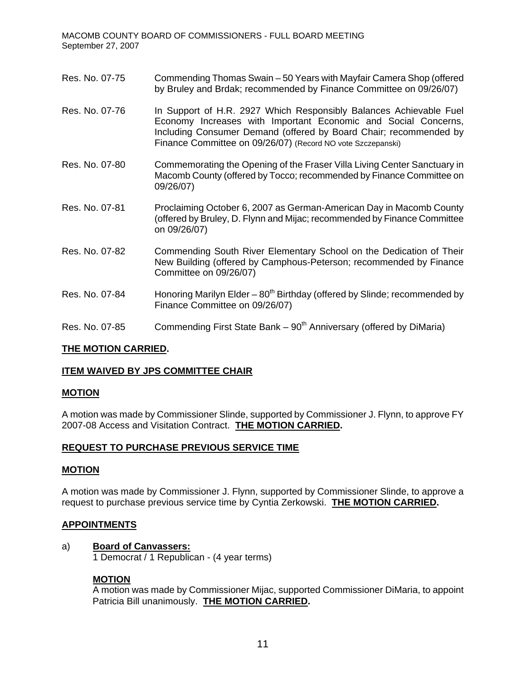- Res. No. 07-75 Commending Thomas Swain 50 Years with Mayfair Camera Shop (offered by Bruley and Brdak; recommended by Finance Committee on 09/26/07)
- Res. No. 07-76 In Support of H.R. 2927 Which Responsibly Balances Achievable Fuel Economy Increases with Important Economic and Social Concerns, Including Consumer Demand (offered by Board Chair; recommended by Finance Committee on 09/26/07) (Record NO vote Szczepanski)
- Res. No. 07-80 Commemorating the Opening of the Fraser Villa Living Center Sanctuary in Macomb County (offered by Tocco; recommended by Finance Committee on 09/26/07)
- Res. No. 07-81 Proclaiming October 6, 2007 as German-American Day in Macomb County (offered by Bruley, D. Flynn and Mijac; recommended by Finance Committee on 09/26/07)
- Res. No. 07-82 Commending South River Elementary School on the Dedication of Their New Building (offered by Camphous-Peterson; recommended by Finance Committee on 09/26/07)
- Res. No. 07-84 Honoring Marilyn Elder  $80^{th}$  Birthday (offered by Slinde; recommended by Finance Committee on 09/26/07)
- Res. No. 07-85 Commending First State Bank  $90<sup>th</sup>$  Anniversary (offered by DiMaria)

### **THE MOTION CARRIED.**

### **ITEM WAIVED BY JPS COMMITTEE CHAIR**

#### **MOTION**

A motion was made by Commissioner Slinde, supported by Commissioner J. Flynn, to approve FY 2007-08 Access and Visitation Contract. **THE MOTION CARRIED.** 

#### **REQUEST TO PURCHASE PREVIOUS SERVICE TIME**

#### **MOTION**

A motion was made by Commissioner J. Flynn, supported by Commissioner Slinde, to approve a request to purchase previous service time by Cyntia Zerkowski. **THE MOTION CARRIED.**

#### **APPOINTMENTS**

#### a) **Board of Canvassers:**

1 Democrat / 1 Republican - (4 year terms)

### **MOTION**

 A motion was made by Commissioner Mijac, supported Commissioner DiMaria, to appoint Patricia Bill unanimously. **THE MOTION CARRIED.**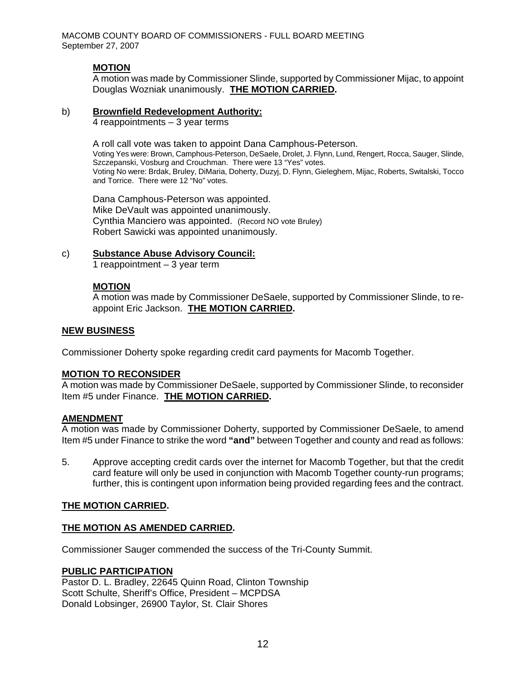## **MOTION**

 A motion was made by Commissioner Slinde, supported by Commissioner Mijac, to appoint Douglas Wozniak unanimously. **THE MOTION CARRIED.** 

#### b) **Brownfield Redevelopment Authority:**

4 reappointments – 3 year terms

A roll call vote was taken to appoint Dana Camphous-Peterson. Voting Yes were: Brown, Camphous-Peterson, DeSaele, Drolet, J. Flynn, Lund, Rengert, Rocca, Sauger, Slinde, Szczepanski, Vosburg and Crouchman. There were 13 "Yes" votes. Voting No were: Brdak, Bruley, DiMaria, Doherty, Duzyj, D. Flynn, Gieleghem, Mijac, Roberts, Switalski, Tocco and Torrice. There were 12 "No" votes.

Dana Camphous-Peterson was appointed. Mike DeVault was appointed unanimously. Cynthia Manciero was appointed. (Record NO vote Bruley) Robert Sawicki was appointed unanimously.

#### c) **Substance Abuse Advisory Council:**

1 reappointment – 3 year term

### **MOTION**

 A motion was made by Commissioner DeSaele, supported by Commissioner Slinde, to reappoint Eric Jackson. **THE MOTION CARRIED.** 

### **NEW BUSINESS**

Commissioner Doherty spoke regarding credit card payments for Macomb Together.

#### **MOTION TO RECONSIDER**

A motion was made by Commissioner DeSaele, supported by Commissioner Slinde, to reconsider Item #5 under Finance. **THE MOTION CARRIED.**

### **AMENDMENT**

A motion was made by Commissioner Doherty, supported by Commissioner DeSaele, to amend Item #5 under Finance to strike the word **"and"** between Together and county and read as follows:

5. Approve accepting credit cards over the internet for Macomb Together, but that the credit card feature will only be used in conjunction with Macomb Together county-run programs; further, this is contingent upon information being provided regarding fees and the contract.

### **THE MOTION CARRIED.**

### **THE MOTION AS AMENDED CARRIED.**

Commissioner Sauger commended the success of the Tri-County Summit.

#### **PUBLIC PARTICIPATION**

Pastor D. L. Bradley, 22645 Quinn Road, Clinton Township Scott Schulte, Sheriff's Office, President – MCPDSA Donald Lobsinger, 26900 Taylor, St. Clair Shores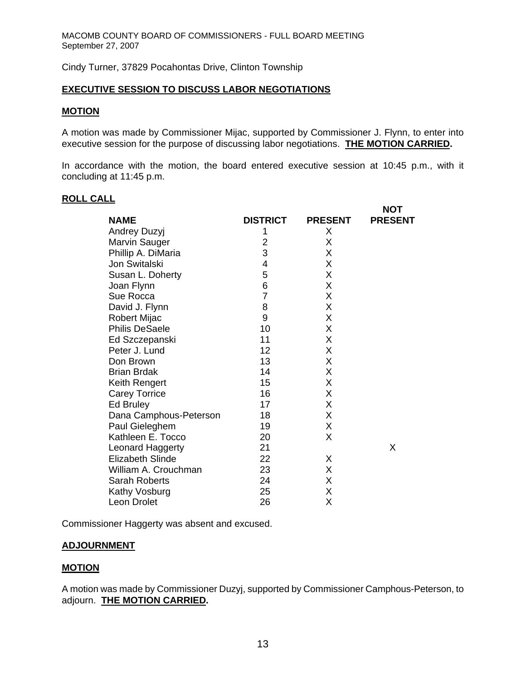Cindy Turner, 37829 Pocahontas Drive, Clinton Township

### **EXECUTIVE SESSION TO DISCUSS LABOR NEGOTIATIONS**

#### **MOTION**

A motion was made by Commissioner Mijac, supported by Commissioner J. Flynn, to enter into executive session for the purpose of discussing labor negotiations. **THE MOTION CARRIED.** 

In accordance with the motion, the board entered executive session at 10:45 p.m., with it concluding at 11:45 p.m.

**NOT** 

### **ROLL CALL**

|                         |                 |                | ו שו           |
|-------------------------|-----------------|----------------|----------------|
| <b>NAME</b>             | <b>DISTRICT</b> | <b>PRESENT</b> | <b>PRESENT</b> |
| <b>Andrey Duzyj</b>     | 1               | X              |                |
| <b>Marvin Sauger</b>    | 2               | Х              |                |
| Phillip A. DiMaria      | 3               | X              |                |
| Jon Switalski           | 4               | Χ              |                |
| Susan L. Doherty        | 5               | X              |                |
| Joan Flynn              | 6               | X              |                |
| Sue Rocca               | 7               | X              |                |
| David J. Flynn          | 8               | Χ              |                |
| <b>Robert Mijac</b>     | 9               | X              |                |
| <b>Philis DeSaele</b>   | 10              | Χ              |                |
| Ed Szczepanski          | 11              | Χ              |                |
| Peter J. Lund           | 12              | Χ              |                |
| Don Brown               | 13              | X              |                |
| <b>Brian Brdak</b>      | 14              | X              |                |
| Keith Rengert           | 15              | Χ              |                |
| <b>Carey Torrice</b>    | 16              | X              |                |
| Ed Bruley               | 17              | Χ              |                |
| Dana Camphous-Peterson  | 18              | Χ              |                |
| Paul Gieleghem          | 19              | Χ              |                |
| Kathleen E. Tocco       | 20              | X              |                |
| Leonard Haggerty        | 21              |                | X              |
| <b>Elizabeth Slinde</b> | 22              | X              |                |
| William A. Crouchman    | 23              | X              |                |
| Sarah Roberts           | 24              | Χ              |                |
| Kathy Vosburg           | 25              | Χ              |                |
| Leon Drolet             | 26              | Χ              |                |
|                         |                 |                |                |

Commissioner Haggerty was absent and excused.

#### **ADJOURNMENT**

### **MOTION**

A motion was made by Commissioner Duzyj, supported by Commissioner Camphous-Peterson, to adjourn. **THE MOTION CARRIED.**